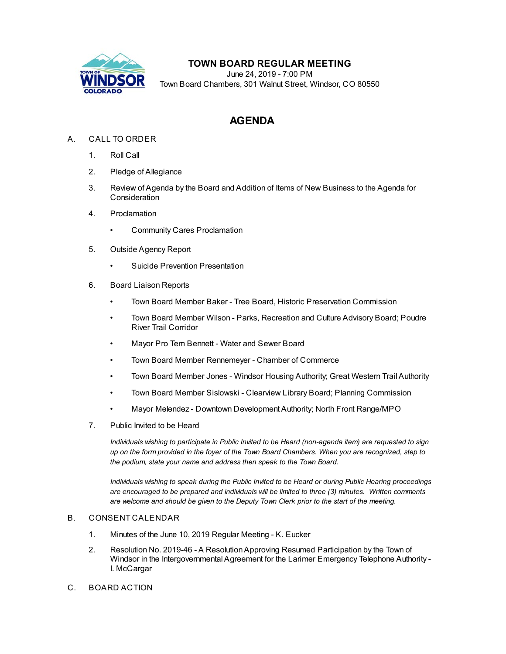

## **TOWN BOARD REGULAR MEETING**

June 24, 2019 - 7:00 PM Town Board Chambers, 301 Walnut Street, Windsor, CO 80550

# **AGENDA**

## A. CALL TO ORDER

- 1. Roll Call
- 2. Pledge of Allegiance
- 3. Review of Agenda by the Board and Addition of Items of New Business to the Agenda for Consideration
- 4. Proclamation
	- [Community Cares Proclamation](file:///C:/Windows/TEMP/CoverSheet.aspx?ItemID=419&MeetingID=46)
- 5. Outside Agency Report
	- [Suicide Prevention Presentation](file:///C:/Windows/TEMP/CoverSheet.aspx?ItemID=417&MeetingID=46)
- 6. Board Liaison Reports
	- Town Board Member Baker Tree Board, Historic Preservation Commission
	- Town Board Member Wilson Parks, Recreation and Culture Advisory Board; Poudre River Trail Corridor
	- Mayor Pro Tem Bennett Water and Sewer Board
	- Town Board Member Rennemeyer Chamber of Commerce
	- Town Board Member Jones Windsor Housing Authority; Great Western Trail Authority
	- Town Board Member Sislowski Clearview Library Board; Planning Commission
	- Mayor Melendez Downtown Development Authority; North Front Range/MPO
- 7. Public Invited to be Heard

*Individuals wishing to participate in Public Invited to be Heard (non-agenda item) are requested to sign up on the form provided in the foyer of the Town Board Chambers. When you are recognized, step to the podium, state your name and address then speak to the Town Board.*

*Individuals wishing to speak during the Public Invited to be Heard or during Public Hearing proceedings are encouraged to be prepared and individuals will be limited to three (3) minutes. Written comments are welcome and should be given to the Deputy Town Clerk prior to the start of the meeting.*

### B. CONSENT CALENDAR

- 1. [Minutes of the June 10, 2019 Regular Meeting K. Eucker](file:///C:/Windows/TEMP/CoverSheet.aspx?ItemID=424&MeetingID=46)
- 2. Resolution No. 2019-46 A Resolution Approving Resumed Participation by the Town of [Windsor in the Intergovernmental Agreement for the Larimer Emergency Telephone Authority -](file:///C:/Windows/TEMP/CoverSheet.aspx?ItemID=416&MeetingID=46) I. McCargar
- C. BOARD ACTION